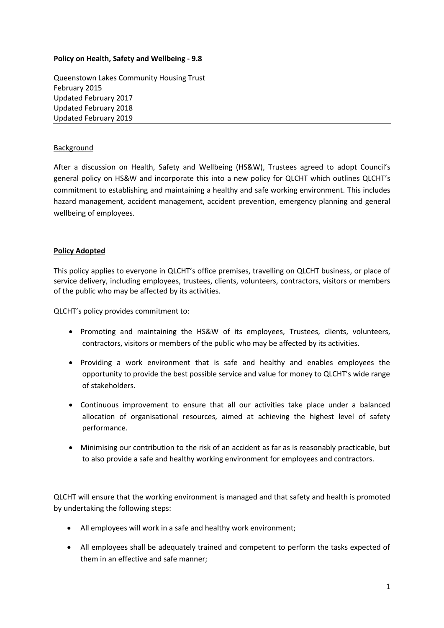## **Policy on Health, Safety and Wellbeing - 9.8**

Queenstown Lakes Community Housing Trust February 2015 Updated February 2017 Updated February 2018 Updated February 2019

## Background

After a discussion on Health, Safety and Wellbeing (HS&W), Trustees agreed to adopt Council's general policy on HS&W and incorporate this into a new policy for QLCHT which outlines QLCHT's commitment to establishing and maintaining a healthy and safe working environment. This includes hazard management, accident management, accident prevention, emergency planning and general wellbeing of employees.

## **Policy Adopted**

This policy applies to everyone in QLCHT's office premises, travelling on QLCHT business, or place of service delivery, including employees, trustees, clients, volunteers, contractors, visitors or members of the public who may be affected by its activities.

QLCHT's policy provides commitment to:

- Promoting and maintaining the HS&W of its employees, Trustees, clients, volunteers, contractors, visitors or members of the public who may be affected by its activities.
- Providing a work environment that is safe and healthy and enables employees the opportunity to provide the best possible service and value for money to QLCHT's wide range of stakeholders.
- Continuous improvement to ensure that all our activities take place under a balanced allocation of organisational resources, aimed at achieving the highest level of safety performance.
- Minimising our contribution to the risk of an accident as far as is reasonably practicable, but to also provide a safe and healthy working environment for employees and contractors.

QLCHT will ensure that the working environment is managed and that safety and health is promoted by undertaking the following steps:

- All employees will work in a safe and healthy work environment;
- All employees shall be adequately trained and competent to perform the tasks expected of them in an effective and safe manner;